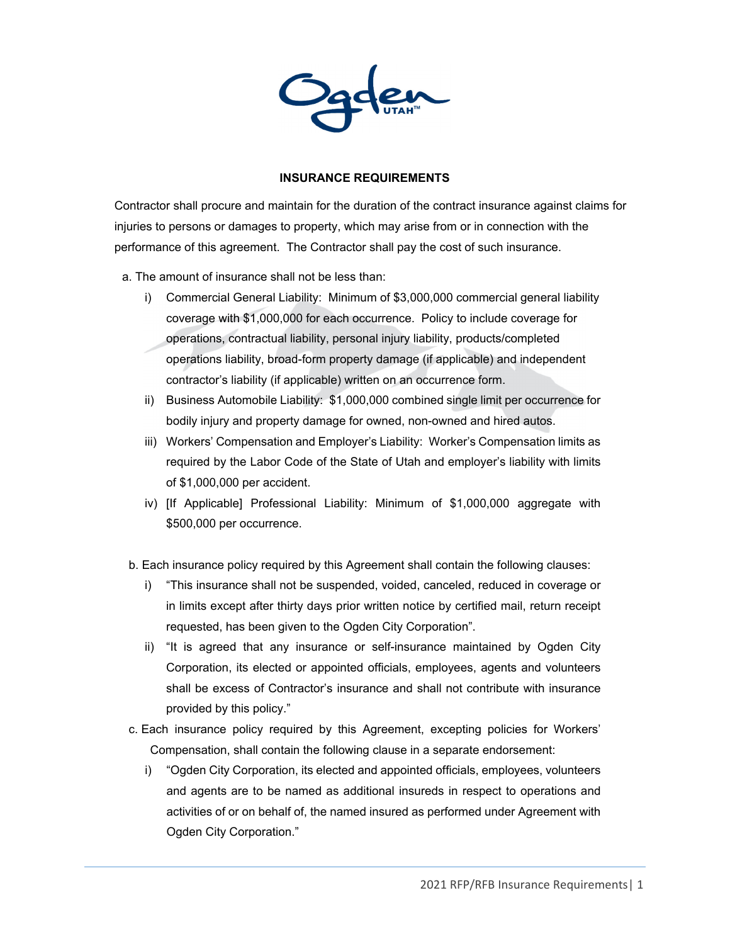

## **INSURANCE REQUIREMENTS**

Contractor shall procure and maintain for the duration of the contract insurance against claims for injuries to persons or damages to property, which may arise from or in connection with the performance of this agreement. The Contractor shall pay the cost of such insurance.

- a. The amount of insurance shall not be less than:
	- i) Commercial General Liability: Minimum of \$3,000,000 commercial general liability coverage with \$1,000,000 for each occurrence. Policy to include coverage for operations, contractual liability, personal injury liability, products/completed operations liability, broad-form property damage (if applicable) and independent contractor's liability (if applicable) written on an occurrence form.
	- ii) Business Automobile Liability: \$1,000,000 combined single limit per occurrence for bodily injury and property damage for owned, non-owned and hired autos.
	- iii) Workers' Compensation and Employer's Liability: Worker's Compensation limits as required by the Labor Code of the State of Utah and employer's liability with limits of \$1,000,000 per accident.
	- iv) [If Applicable] Professional Liability: Minimum of \$1,000,000 aggregate with \$500,000 per occurrence.
	- b. Each insurance policy required by this Agreement shall contain the following clauses:
		- i) "This insurance shall not be suspended, voided, canceled, reduced in coverage or in limits except after thirty days prior written notice by certified mail, return receipt requested, has been given to the Ogden City Corporation".
		- ii) "It is agreed that any insurance or self-insurance maintained by Ogden City Corporation, its elected or appointed officials, employees, agents and volunteers shall be excess of Contractor's insurance and shall not contribute with insurance provided by this policy."
- c. Each insurance policy required by this Agreement, excepting policies for Workers' Compensation, shall contain the following clause in a separate endorsement:
	- i) "Ogden City Corporation, its elected and appointed officials, employees, volunteers and agents are to be named as additional insureds in respect to operations and activities of or on behalf of, the named insured as performed under Agreement with Ogden City Corporation."